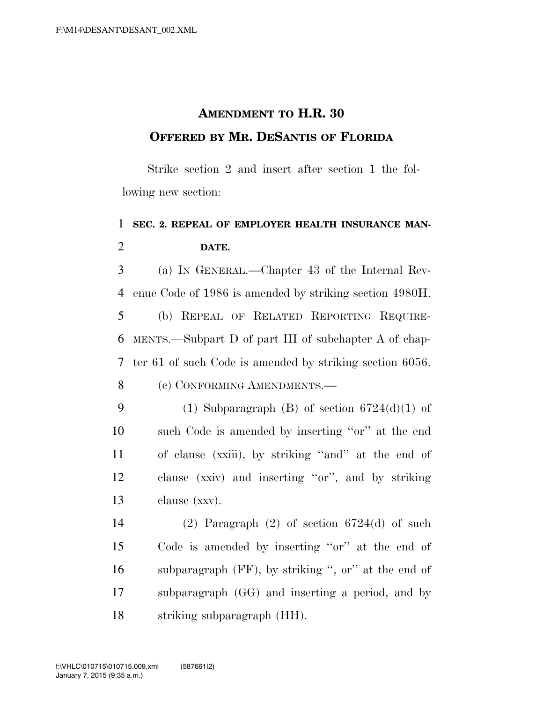## **AMENDMENT TO H.R. 30 OFFERED BY MR. DESANTIS OF FLORIDA**

Strike section 2 and insert after section 1 the following new section:

## 1 **SEC. 2. REPEAL OF EMPLOYER HEALTH INSURANCE MAN-**2 **DATE.**

3 (a) IN GENERAL.—Chapter 43 of the Internal Rev-4 enue Code of 1986 is amended by striking section 4980H.

 (b) REPEAL OF RELATED REPORTING REQUIRE- MENTS.—Subpart D of part III of subchapter A of chap- ter 61 of such Code is amended by striking section 6056. 8 (c) CONFORMING AMENDMENTS.—

9 (1) Subparagraph (B) of section  $6724(d)(1)$  of such Code is amended by inserting ''or'' at the end of clause (xxiii), by striking ''and'' at the end of clause (xxiv) and inserting ''or'', and by striking clause (xxv).

14 (2) Paragraph  $(2)$  of section 6724 $(d)$  of such Code is amended by inserting ''or'' at the end of subparagraph (FF), by striking '', or'' at the end of subparagraph (GG) and inserting a period, and by striking subparagraph (HH).